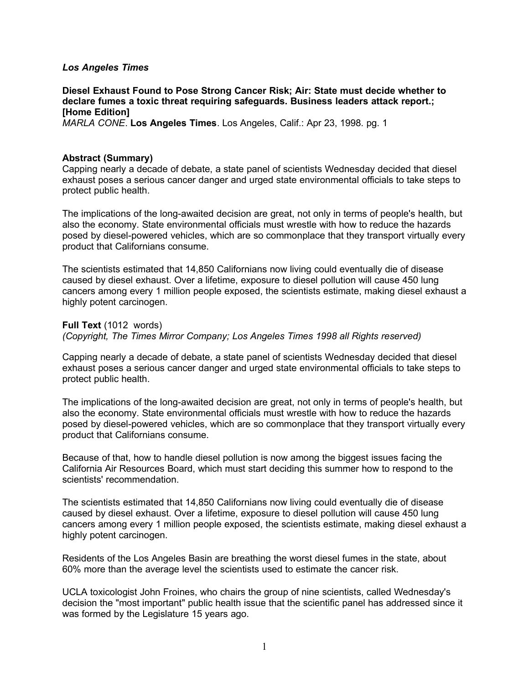# *Los Angeles Times*

**Diesel Exhaust Found to Pose Strong Cancer Risk; Air: State must decide whether to declare fumes a toxic threat requiring safeguards. Business leaders attack report.; [Home Edition]** *MARLA CONE*. **Los Angeles Times**. Los Angeles, Calif.: Apr 23, 1998. pg. 1

#### **Abstract (Summary)**

Capping nearly a decade of debate, a state panel of scientists Wednesday decided that diesel exhaust poses a serious cancer danger and urged state environmental officials to take steps to protect public health.

The implications of the long-awaited decision are great, not only in terms of people's health, but also the economy. State environmental officials must wrestle with how to reduce the hazards posed by diesel-powered vehicles, which are so commonplace that they transport virtually every product that Californians consume.

The scientists estimated that 14,850 Californians now living could eventually die of disease caused by diesel exhaust. Over a lifetime, exposure to diesel pollution will cause 450 lung cancers among every 1 million people exposed, the scientists estimate, making diesel exhaust a highly potent carcinogen.

**Full Text** (1012 words)

*(Copyright, The Times Mirror Company; Los Angeles Times 1998 all Rights reserved)*

Capping nearly a decade of debate, a state panel of scientists Wednesday decided that diesel exhaust poses a serious cancer danger and urged state environmental officials to take steps to protect public health.

The implications of the long-awaited decision are great, not only in terms of people's health, but also the economy. State environmental officials must wrestle with how to reduce the hazards posed by diesel-powered vehicles, which are so commonplace that they transport virtually every product that Californians consume.

Because of that, how to handle diesel pollution is now among the biggest issues facing the California Air Resources Board, which must start deciding this summer how to respond to the scientists' recommendation.

The scientists estimated that 14,850 Californians now living could eventually die of disease caused by diesel exhaust. Over a lifetime, exposure to diesel pollution will cause 450 lung cancers among every 1 million people exposed, the scientists estimate, making diesel exhaust a highly potent carcinogen.

Residents of the Los Angeles Basin are breathing the worst diesel fumes in the state, about 60% more than the average level the scientists used to estimate the cancer risk.

UCLA toxicologist John Froines, who chairs the group of nine scientists, called Wednesday's decision the "most important" public health issue that the scientific panel has addressed since it was formed by the Legislature 15 years ago.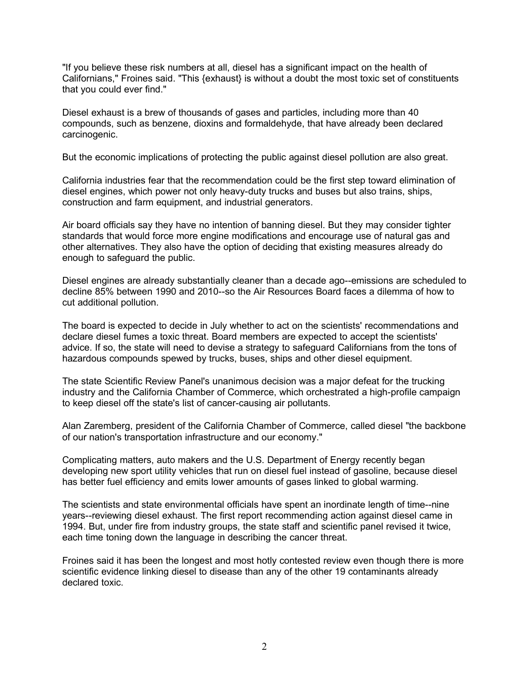"If you believe these risk numbers at all, diesel has a significant impact on the health of Californians," Froines said. "This {exhaust} is without a doubt the most toxic set of constituents that you could ever find."

Diesel exhaust is a brew of thousands of gases and particles, including more than 40 compounds, such as benzene, dioxins and formaldehyde, that have already been declared carcinogenic.

But the economic implications of protecting the public against diesel pollution are also great.

California industries fear that the recommendation could be the first step toward elimination of diesel engines, which power not only heavy-duty trucks and buses but also trains, ships, construction and farm equipment, and industrial generators.

Air board officials say they have no intention of banning diesel. But they may consider tighter standards that would force more engine modifications and encourage use of natural gas and other alternatives. They also have the option of deciding that existing measures already do enough to safeguard the public.

Diesel engines are already substantially cleaner than a decade ago--emissions are scheduled to decline 85% between 1990 and 2010--so the Air Resources Board faces a dilemma of how to cut additional pollution.

The board is expected to decide in July whether to act on the scientists' recommendations and declare diesel fumes a toxic threat. Board members are expected to accept the scientists' advice. If so, the state will need to devise a strategy to safeguard Californians from the tons of hazardous compounds spewed by trucks, buses, ships and other diesel equipment.

The state Scientific Review Panel's unanimous decision was a major defeat for the trucking industry and the California Chamber of Commerce, which orchestrated a high-profile campaign to keep diesel off the state's list of cancer-causing air pollutants.

Alan Zaremberg, president of the California Chamber of Commerce, called diesel "the backbone of our nation's transportation infrastructure and our economy."

Complicating matters, auto makers and the U.S. Department of Energy recently began developing new sport utility vehicles that run on diesel fuel instead of gasoline, because diesel has better fuel efficiency and emits lower amounts of gases linked to global warming.

The scientists and state environmental officials have spent an inordinate length of time--nine years--reviewing diesel exhaust. The first report recommending action against diesel came in 1994. But, under fire from industry groups, the state staff and scientific panel revised it twice, each time toning down the language in describing the cancer threat.

Froines said it has been the longest and most hotly contested review even though there is more scientific evidence linking diesel to disease than any of the other 19 contaminants already declared toxic.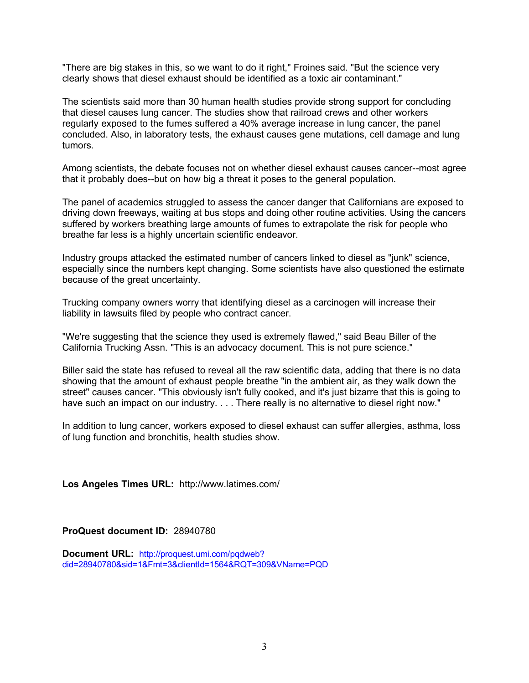"There are big stakes in this, so we want to do it right," Froines said. "But the science very clearly shows that diesel exhaust should be identified as a toxic air contaminant."

The scientists said more than 30 human health studies provide strong support for concluding that diesel causes lung cancer. The studies show that railroad crews and other workers regularly exposed to the fumes suffered a 40% average increase in lung cancer, the panel concluded. Also, in laboratory tests, the exhaust causes gene mutations, cell damage and lung tumors.

Among scientists, the debate focuses not on whether diesel exhaust causes cancer--most agree that it probably does--but on how big a threat it poses to the general population.

The panel of academics struggled to assess the cancer danger that Californians are exposed to driving down freeways, waiting at bus stops and doing other routine activities. Using the cancers suffered by workers breathing large amounts of fumes to extrapolate the risk for people who breathe far less is a highly uncertain scientific endeavor.

Industry groups attacked the estimated number of cancers linked to diesel as "junk" science, especially since the numbers kept changing. Some scientists have also questioned the estimate because of the great uncertainty.

Trucking company owners worry that identifying diesel as a carcinogen will increase their liability in lawsuits filed by people who contract cancer.

"We're suggesting that the science they used is extremely flawed," said Beau Biller of the California Trucking Assn. "This is an advocacy document. This is not pure science."

Biller said the state has refused to reveal all the raw scientific data, adding that there is no data showing that the amount of exhaust people breathe "in the ambient air, as they walk down the street" causes cancer. "This obviously isn't fully cooked, and it's just bizarre that this is going to have such an impact on our industry. . . . There really is no alternative to diesel right now."

In addition to lung cancer, workers exposed to diesel exhaust can suffer allergies, asthma, loss of lung function and bronchitis, health studies show.

**Los Angeles Times URL:** http://www.latimes.com/

**ProQuest document ID:** 28940780

**Document URL:** [http://proquest.umi.com/pqdweb?](http://proquest.umi.com/pqdweb?did=28940780&sid=1&Fmt=3&clie%20ntId=1564&RQT=309&VName=PQD) [did=28940780&sid=1&Fmt=3&clientId=1564&RQT=309&VName=PQD](http://proquest.umi.com/pqdweb?did=28940780&sid=1&Fmt=3&clie%20ntId=1564&RQT=309&VName=PQD)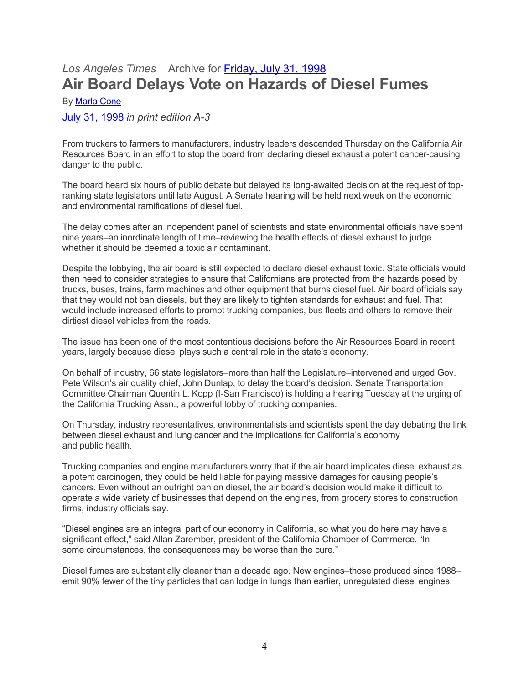# *Los Angeles Times* Archive for [Friday, July 31, 1998](http://articles.latimes.com/1998/jul/31/) **Air Board Delays Vote on Hazards of Diesel Fumes**

By [Marla Cone](http://articles.latimes.com/writers/marla-cone)

[July 31, 1998](http://articles.latimes.com/1998/jul/31/news) *in print edition A-3*

From truckers to farmers to manufacturers, industry leaders descended Thursday on the California Air Resources Board in an effort to stop the board from declaring diesel exhaust a potent cancer-causing danger to the public.

The board heard six hours of public debate but delayed its long-awaited decision at the request of topranking state legislators until late August. A Senate hearing will be held next week on the economic and environmental ramifications of diesel fuel.

The delay comes after an independent panel of scientists and state environmental officials have spent nine years–an inordinate length of time–reviewing the health effects of diesel exhaust to judge whether it should be deemed a toxic air contaminant.

Despite the lobbying, the air board is still expected to declare diesel exhaust toxic. State officials would then need to consider strategies to ensure that Californians are protected from the hazards posed by trucks, buses, trains, farm machines and other equipment that burns diesel fuel. Air board officials say that they would not ban diesels, but they are likely to tighten standards for exhaust and fuel. That would include increased efforts to prompt trucking companies, bus fleets and others to remove their dirtiest diesel vehicles from the roads.

The issue has been one of the most contentious decisions before the Air Resources Board in recent years, largely because diesel plays such a central role in the state's economy.

On behalf of industry, 66 state legislators–more than half the Legislature–intervened and urged Gov. Pete Wilson's air quality chief, John Dunlap, to delay the board's decision. Senate Transportation Committee Chairman Quentin L. Kopp (I-San Francisco) is holding a hearing Tuesday at the urging of the California Trucking Assn., a powerful lobby of trucking companies.

On Thursday, industry representatives, environmentalists and scientists spent the day debating the link between diesel exhaust and lung cancer and the implications for California's economy and public health.

Trucking companies and engine manufacturers worry that if the air board implicates diesel exhaust as a potent carcinogen, they could be held liable for paying massive damages for causing people's cancers. Even without an outright ban on diesel, the air board's decision would make it difficult to operate a wide variety of businesses that depend on the engines, from grocery stores to construction firms, industry officials say.

"Diesel engines are an integral part of our economy in California, so what you do here may have a significant effect," said Allan Zarember, president of the California Chamber of Commerce. "In some circumstances, the consequences may be worse than the cure."

Diesel fumes are substantially cleaner than a decade ago. New engines–those produced since 1988– emit 90% fewer of the tiny particles that can lodge in lungs than earlier, unregulated diesel engines.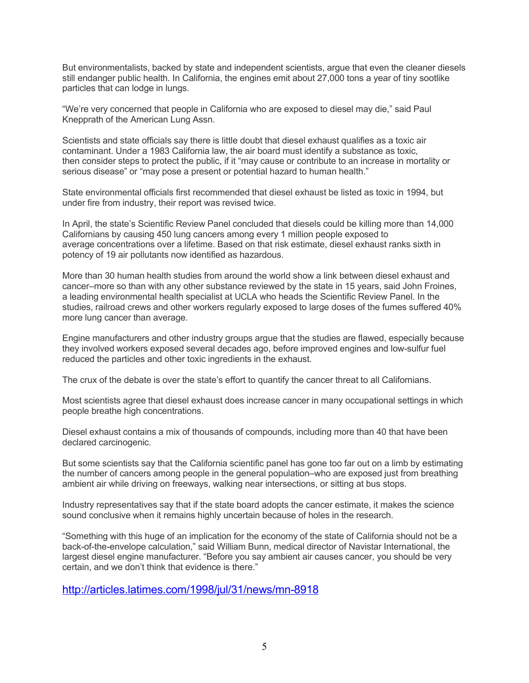But environmentalists, backed by state and independent scientists, argue that even the cleaner diesels still endanger public health. In California, the engines emit about 27,000 tons a year of tiny sootlike particles that can lodge in lungs.

"We're very concerned that people in California who are exposed to diesel may die," said Paul Knepprath of the American Lung Assn.

Scientists and state officials say there is little doubt that diesel exhaust qualifies as a toxic air contaminant. Under a 1983 California law, the air board must identify a substance as toxic, then consider steps to protect the public, if it "may cause or contribute to an increase in mortality or serious disease" or "may pose a present or potential hazard to human health."

State environmental officials first recommended that diesel exhaust be listed as toxic in 1994, but under fire from industry, their report was revised twice.

In April, the state's Scientific Review Panel concluded that diesels could be killing more than 14,000 Californians by causing 450 lung cancers among every 1 million people exposed to average concentrations over a lifetime. Based on that risk estimate, diesel exhaust ranks sixth in potency of 19 air pollutants now identified as hazardous.

More than 30 human health studies from around the world show a link between diesel exhaust and cancer–more so than with any other substance reviewed by the state in 15 years, said John Froines, a leading environmental health specialist at UCLA who heads the Scientific Review Panel. In the studies, railroad crews and other workers regularly exposed to large doses of the fumes suffered 40% more lung cancer than average.

Engine manufacturers and other industry groups argue that the studies are flawed, especially because they involved workers exposed several decades ago, before improved engines and low-sulfur fuel reduced the particles and other toxic ingredients in the exhaust.

The crux of the debate is over the state's effort to quantify the cancer threat to all Californians.

Most scientists agree that diesel exhaust does increase cancer in many occupational settings in which people breathe high concentrations.

Diesel exhaust contains a mix of thousands of compounds, including more than 40 that have been declared carcinogenic.

But some scientists say that the California scientific panel has gone too far out on a limb by estimating the number of cancers among people in the general population–who are exposed just from breathing ambient air while driving on freeways, walking near intersections, or sitting at bus stops.

Industry representatives say that if the state board adopts the cancer estimate, it makes the science sound conclusive when it remains highly uncertain because of holes in the research.

"Something with this huge of an implication for the economy of the state of California should not be a back-of-the-envelope calculation," said William Bunn, medical director of Navistar International, the largest diesel engine manufacturer. "Before you say ambient air causes cancer, you should be very certain, and we don't think that evidence is there."

<http://articles.latimes.com/1998/jul/31/news/mn-8918>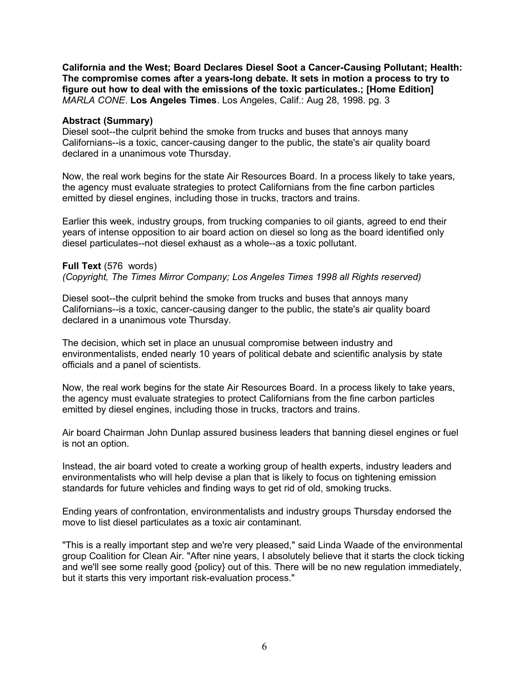**California and the West; Board Declares Diesel Soot a Cancer-Causing Pollutant; Health: The compromise comes after a years-long debate. It sets in motion a process to try to figure out how to deal with the emissions of the toxic particulates.; [Home Edition]** *MARLA CONE*. **Los Angeles Times**. Los Angeles, Calif.: Aug 28, 1998. pg. 3

### **Abstract (Summary)**

Diesel soot--the culprit behind the smoke from trucks and buses that annoys many Californians--is a toxic, cancer-causing danger to the public, the state's air quality board declared in a unanimous vote Thursday.

Now, the real work begins for the state Air Resources Board. In a process likely to take years, the agency must evaluate strategies to protect Californians from the fine carbon particles emitted by diesel engines, including those in trucks, tractors and trains.

Earlier this week, industry groups, from trucking companies to oil giants, agreed to end their years of intense opposition to air board action on diesel so long as the board identified only diesel particulates--not diesel exhaust as a whole--as a toxic pollutant.

# **Full Text** (576 words)

*(Copyright, The Times Mirror Company; Los Angeles Times 1998 all Rights reserved)*

Diesel soot--the culprit behind the smoke from trucks and buses that annoys many Californians--is a toxic, cancer-causing danger to the public, the state's air quality board declared in a unanimous vote Thursday.

The decision, which set in place an unusual compromise between industry and environmentalists, ended nearly 10 years of political debate and scientific analysis by state officials and a panel of scientists.

Now, the real work begins for the state Air Resources Board. In a process likely to take years, the agency must evaluate strategies to protect Californians from the fine carbon particles emitted by diesel engines, including those in trucks, tractors and trains.

Air board Chairman John Dunlap assured business leaders that banning diesel engines or fuel is not an option.

Instead, the air board voted to create a working group of health experts, industry leaders and environmentalists who will help devise a plan that is likely to focus on tightening emission standards for future vehicles and finding ways to get rid of old, smoking trucks.

Ending years of confrontation, environmentalists and industry groups Thursday endorsed the move to list diesel particulates as a toxic air contaminant.

"This is a really important step and we're very pleased," said Linda Waade of the environmental group Coalition for Clean Air. "After nine years, I absolutely believe that it starts the clock ticking and we'll see some really good {policy} out of this. There will be no new regulation immediately, but it starts this very important risk-evaluation process."